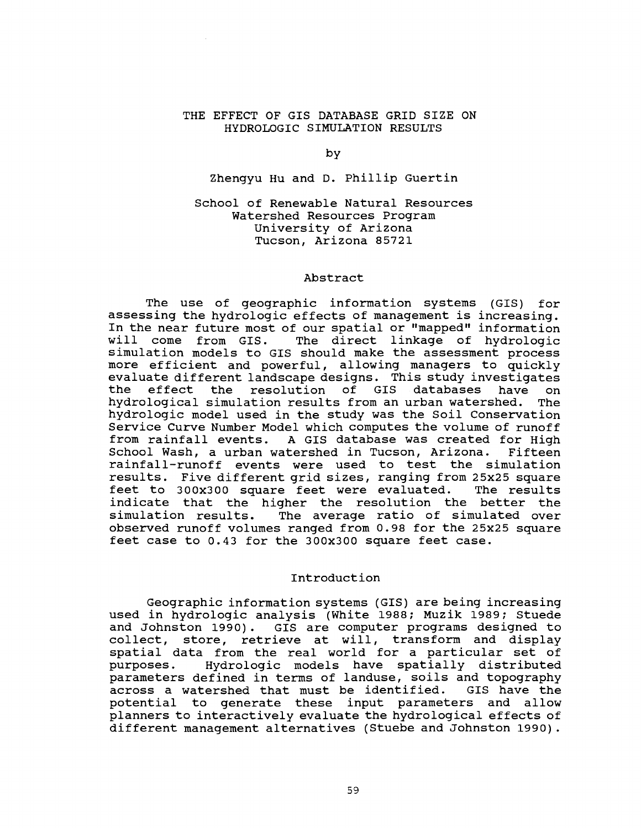## THE EFFECT OF GIS DATABASE GRID SIZE ON HYDROLOGIC SIMULATION RESULTS

by

Zhengyu Hu and D. Phillip Guertin

School of Renewable Natural Resources Watershed Resources Program University of Arizona Tucson, Arizona 85721

#### Abstract

The use of geographic information systems (GIS) for assessing the hydrologic effects of management is increasing. In the near future most of our spatial or "mapped" information will come from GIS. The direct linkage of hydrologic simulation models to GIS should make the assessment process more efficient and powerful, allowing managers to quickly evaluate different landscape designs. This study investigates the effect the resolution of GIS databases have on<br>hydrological simulation results from an urban watershed. The hydrological simulation results from an urban watershed. hydrologic model used in the study was the Soil Conservation Service Curve Number Model which computes the volume of runoff from rainfall events. A GIS database was created for High School Wash, a urban watershed in Tucson, Arizona. Fifteen rainfall- runoff events were used to test the simulation results. Five different grid sizes, ranging from 25x25 square feet to 300x300 square feet were evaluated. The results indicate that the higher the resolution the better the simulation results. The average ratio of simulated over observed runoff volumes ranged from 0.98 for the 25x25 square feet case to 0.43 for the 300x300 square feet case.

## Introduction

Geographic information systems (GIS) are being increasing used in hydrologic analysis (White 1988; Muzik 1989; Stuede and Johnston 1990). GIS are computer programs designed to collect, store, retrieve at will, transform and display spatial data from the real world for a particular set of purposes. Hydrologic models have spatially distributed parameters defined in terms of landuse, soils and topography<br>across a watershed that must be identified. GIS have the across a watershed that must be identified. potential to generate these input parameters and allow planners to interactively evaluate the hydrological effects of different management alternatives (Stuebe and Johnston 1990).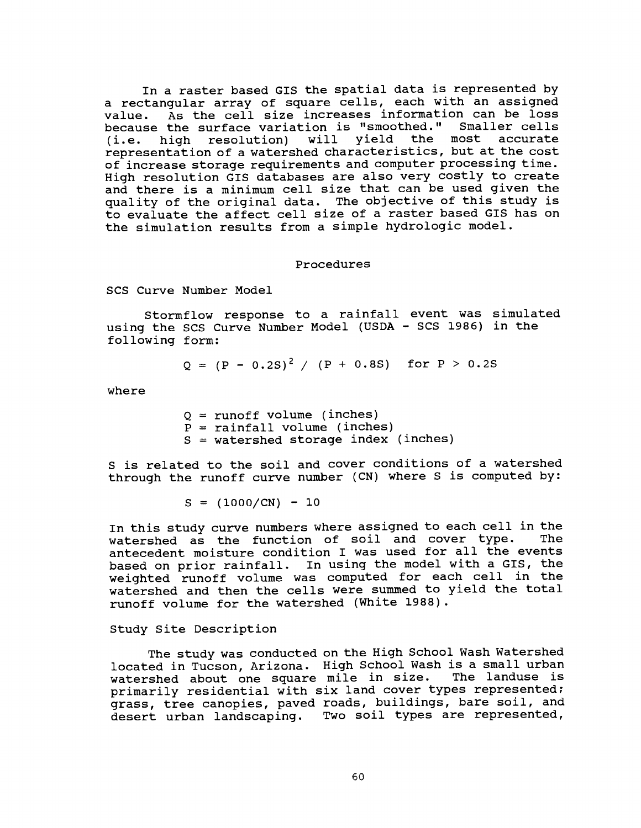In a raster based GIS the spatial data is represented by a rectangular array of square cells, each with an assigned value. As the cell size increases information can be loss because the surface variation is "smoothed." Smaller cells<br>(i.e. high resolution) will yield the most accurate (i.e. high resolution) will yield the most accurate representation of a watershed characteristics, but at the cost of increase storage requirements and computer processing time. High resolution GIS databases are also very costly to create and there is a minimum cell size that can be used given the quality of the original data. The objective of this study is to evaluate the affect cell size of a raster based GIS has on the simulation results from a simple hydrologic model.

#### Procedures

SCS Curve Number Model

Stormflow response to a rainfall event was simulated using the SCS Curve Number Model (USDA - SCS 1986) in the following form:

$$
Q = (P - 0.2S)^{2} / (P + 0.8S)
$$
 for P > 0.2S

where

 $Q = runoff volume (inches)$  $P =$  rainfall volume (inches)  $S =$  watershed storage index (inches)

S is related to the soil and cover conditions of a watershed through the runoff curve number (CN) where S is computed by:

 $S = (1000/CN) - 10$ 

In this study curve numbers where assigned to each cell in the<br>Watershed as the function of soil and cover type. The watershed as the function of soil and cover type. antecedent moisture condition I was used for all the events based on prior rainfall. In using the model with a GIS, the weighted runoff volume was computed for each cell in the watershed and then the cells were summed to yield the total runoff volume for the watershed (White 1988).

### Study Site Description

The study was conducted on the High School Wash Watershed located in Tucson, Arizona. High School Wash is a small urban<br>watershed about one square mile in size. The landuse is watershed about one square mile in size. primarily residential with six land cover types represented; grass, tree canopies, paved roads, buildings, bare soil, and desert urban landscaping. Two soil types are represented,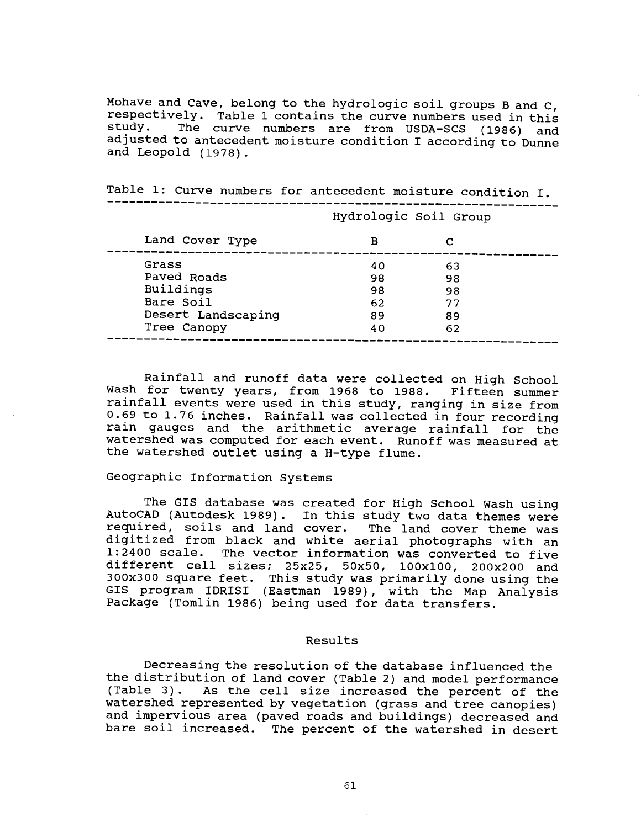Mohave and Cave, belong to the hydrologic soil groups B and C, respectively. Table 1 contains the curve numbers used in this study. The curve numbers are from USDA-SCS (1986) and The curve numbers are from USDA-SCS (1986) and adjusted to antecedent moisture condition I according to Dunne and Leopold (1978).

|                    |    | Hydrologic Soil Group |  |
|--------------------|----|-----------------------|--|
| Land Cover Type    | в  |                       |  |
| Grass              | 40 | 63                    |  |
| Paved Roads        | 98 | 98                    |  |
| Buildings          | 98 | 98                    |  |
| Bare Soil          | 62 | 77                    |  |
| Desert Landscaping | 89 | 89                    |  |
| Tree Canopy        | 40 | 62                    |  |

Table 1: Curve numbers for antecedent moisture condition I.

Rainfall and runoff data were collected on High School Wash for twenty years, from 1968 to 1988. Fifteen summer rainfall events were used in this study, ranging in size from 0.69 to 1.76 inches. Rainfall was collected in four recording rain gauges and the arithmetic average rainfall for the watershed was computed for each event. Runoff was measured at the watershed outlet using a H-type flume.

## Geographic Information Systems

The GIS database was created for High School Wash using AutoCAD (Autodesk 1989). In this study two data themes were required, soils and land cover. The land cover theme was digitized from black and white aerial photographs with an 1:2400 scale. The vector information was converted to five different cell sizes; 25x25, 50x50, 100x100, 200x200 and 300x300 square feet. This study was primarily done using the GIS program IDRISI (Eastman 1989), with the Map Analysis Package (Tomlin 1986) being used for data transfers.

#### Results

Decreasing the resolution of the database influenced the the distribution of land cover (Table 2) and model performance (Table 3). As the cell size increased the percent of the watershed represented by vegetation (grass and tree canopies) and impervious area (paved roads and buildings) decreased and bare soil increased. The percent of the watershed in desert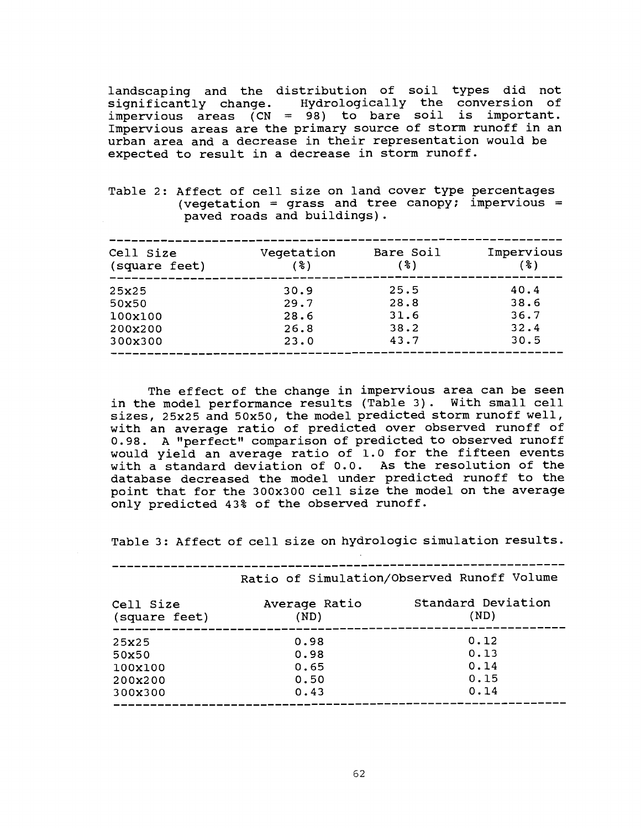landscaping and the distribution of soil types did not<br>significantly change. Hydrologically the conversion of Hydrologically the conversion of impervious areas  $(CN = 98)$  to bare soil is important. Impervious areas are the primary source of storm runoff in an urban area and a decrease in their representation would be expected to result in a decrease in storm runoff.

Table 2: Affect of cell size on land cover type percentages (vegetation = grass and tree canopy; impervious = paved roads and buildings).

| Cell Size<br>(square feet) | Vegetation<br>(3) | Bare Soil<br>( % ) | Impervious<br>(3) |
|----------------------------|-------------------|--------------------|-------------------|
| 25x25                      | 30.9              | 25.5               | 40.4              |
| 50x50                      | 29.7              | 28.8               | 38.6              |
| 100x100                    | 28.6              | 31.6               | 36.7              |
| 200x200                    | 26.8              | 38.2               | 32.4              |
| 300x300                    | 23.0              | 43.7               | 30.5              |
|                            |                   |                    |                   |

The effect of the change in impervious area can be seen in the model performance results (Table 3). With small cell sizes, 25x25 and 50x50, the model predicted storm runoff well, with an average ratio of predicted over observed runoff of 0.98. A "perfect" comparison of predicted to observed runoff would yield an average ratio of 1.0 for the fifteen events with a standard deviation of 0.0. As the resolution of the database decreased the model under predicted runoff to the point that for the 300x300 cell size the model on the average only predicted 43% of the observed runoff.

Table 3: Affect of cell size on hydrologic simulation results.

|                            | Ratio of Simulation/Observed Runoff Volume |                            |  |
|----------------------------|--------------------------------------------|----------------------------|--|
| Cell Size<br>(square feet) | Average Ratio<br>(ND)                      | Standard Deviation<br>(ND) |  |
| 25x25                      | 0.98                                       | 0.12                       |  |
| 50x50                      | 0.98                                       | 0.13                       |  |
| 100x100                    | 0.65                                       | 0.14                       |  |
| 200x200                    | 0.50                                       | 0.15                       |  |
| 300x300                    | 0.43                                       | 0.14                       |  |
|                            |                                            |                            |  |